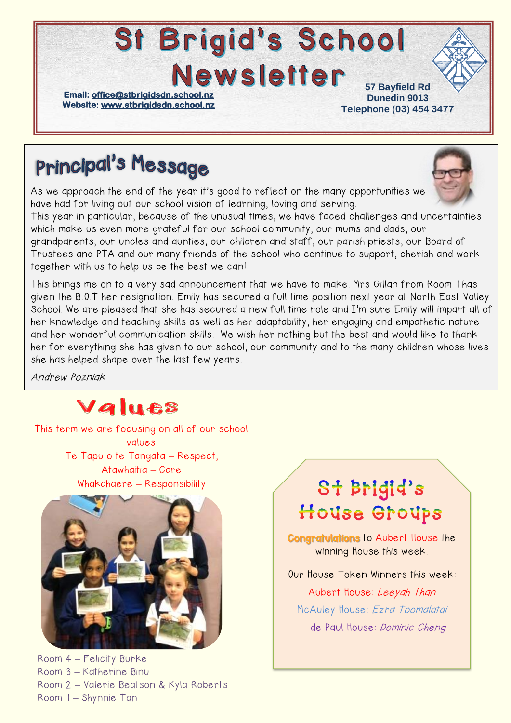# **St Brigid's School Newsletter**

**Email: [office@stbrigidsdn.school.nz](mailto:office@stbrigidsdn.school.nz)  Website[: www.stbrigidsdn.school.nz](http://www.stbrigidsdn.school.nz/)** 

**57 Bayfield Rd Dunedin 9013 Telephone (03) 454 3477** 

## **Principal's Message**

As we approach the end of the year it's good to reflect on the many opportunities we have had for living out our school vision of learning, loving and serving.



This year in particular, because of the unusual times, we have faced challenges and uncertainties which make us even more grateful for our school community, our mums and dads, our grandparents, our uncles and aunties, our children and staff, our parish priests, our Board of Trustees and PTA and our many friends of the school who continue to support, cherish and work together with us to help us be the best we can!

This brings me on to a very sad announcement that we have to make. Mrs Gillan from Room 1 has given the B.O.T her resignation. Emily has secured a full time position next year at North East Valley School. We are pleased that she has secured a new full time role and I'm sure Emily will impart all of her knowledge and teaching skills as well as her adaptability, her engaging and empathetic nature and her wonderful communication skills. We wish her nothing but the best and would like to thank her for everything she has given to our school, our community and to the many children whose lives she has helped shape over the last few years.

Andrew Pozniak

### Values

This term we are focusing on all of our school values Te Tapu o te Tangata – Respect, Atawhaitia – Care Whakahaere – Responsibility



Room 4 **–** Felicity Burke Room 3 **–** Katherine Binu Room 2 **–** Valerie Beatson & Kyla Roberts Room 1 **–** Shynnie Tan

### St Brigid's House Groups

Congratulations to Aubert House the winning House this week.

Our House Token Winners this week:

Aubert House: Leeyah Than McAuley House: Ezra Toomalatai de Paul House: Dominic Cheng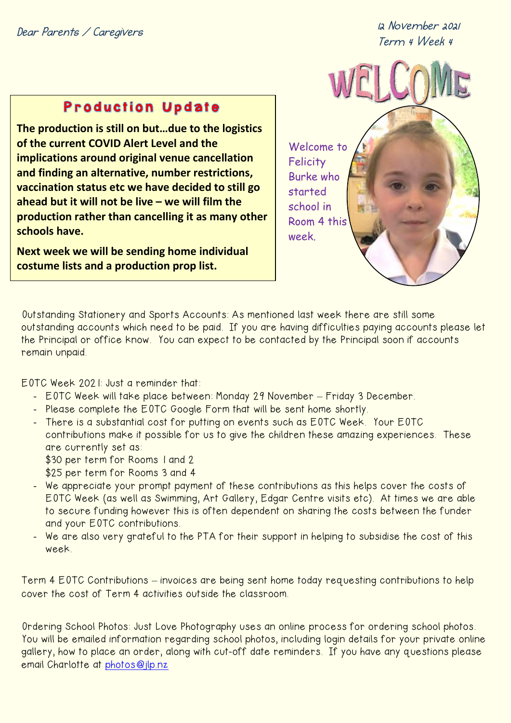**Dear Parents / Caregivers**

**12 November 2021 Term 4 Week 4**

#### **Production Update**

**The production is still on but…due to the logistics of the current COVID Alert Level and the implications around original venue cancellation and finding an alternative, number restrictions, vaccination status etc we have decided to still go ahead but it will not be live – we will film the production rather than cancelling it as many other schools have.** 

**Next week we will be sending home individual costume lists and a production prop list.**





Outstanding Stationery and Sports Accounts: As mentioned last week there are still some outstanding accounts which need to be paid. If you are having difficulties paying accounts please let the Principal or office know. You can expect to be contacted by the Principal soon if accounts remain unpaid.

EOTC Week 2021: Just a reminder that:

- EOTC Week will take place between: Monday 29 November Friday 3 December.
- Please complete the EOTC Google Form that will be sent home shortly.
- There is a substantial cost for putting on events such as EOTC Week. Your EOTC contributions make it possible for us to give the children these amazing experiences. These are currently set as:
	- \$30 per term for Rooms 1 and 2
	- \$25 per term for Rooms 3 and 4
- We appreciate your prompt payment of these contributions as this helps cover the costs of EOTC Week (as well as Swimming, Art Gallery, Edgar Centre visits etc). At times we are able to secure funding however this is often dependent on sharing the costs between the funder and your EOTC contributions.
- We are also very grateful to the PTA for their support in helping to subsidise the cost of this week.

Term 4 EOTC Contributions – invoices are being sent home today requesting contributions to help cover the cost of Term 4 activities outside the classroom.

Ordering School Photos: Just Love Photography uses an online process for ordering school photos. You will be emailed information regarding school photos, including login details for your private online gallery, how to place an order, along with cut-off date reminders. If you have any questions please email Charlotte at [photos@jlp.nz](mailto:photos@jlp.nz)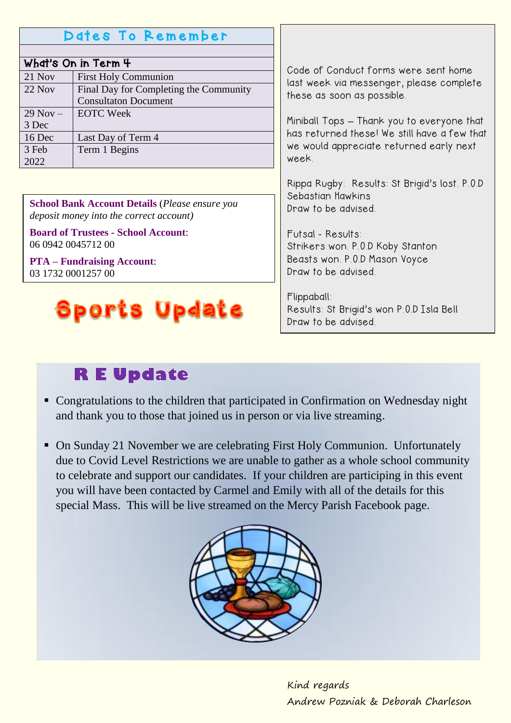#### Dates To Remember

| What's On in Term 4 |                                        |
|---------------------|----------------------------------------|
| 21 Nov              | <b>First Holy Communion</b>            |
| $22$ Nov            | Final Day for Completing the Community |
|                     | <b>Consultaton Document</b>            |
| $29$ Nov $-$        | <b>EOTC Week</b>                       |
| 3 Dec               |                                        |
| 16 Dec              | Last Day of Term 4                     |
| 3 Feb               | Term 1 Begins                          |
| 2022                |                                        |

**School Bank Account Details** (*Please ensure you deposit money into the correct account)*

**Board of Trustees - School Account**: 06 0942 0045712 00

**PTA – Fundraising Account**: 03 1732 0001257 00

## **Sports Update**

Code of Conduct forms were sent home last week via messenger, please complete these as soon as possible.

Miniball Tops **–** Thank you to everyone that has returned these! We still have a few that we would appreciate returned early next week.

Rippa Rugby: Results: St Brigid's lost. P.O.D Sebastian Hawkins Draw to be advised.

Futsal - Results: Strikers won. P.O.D Koby Stanton Beasts won. P.O.D Mason Voyce Draw to be advised.

Flippaball: Results: St Brigid's won P.O.D Isla Bell Draw to be advised.

### **RE Update**

- Congratulations to the children that participated in Confirmation on Wednesday night and thank you to those that joined us in person or via live streaming.
- On Sunday 21 November we are celebrating First Holy Communion. Unfortunately due to Covid Level Restrictions we are unable to gather as a whole school community to celebrate and support our candidates. If your children are participing in this event you will have been contacted by Carmel and Emily with all of the details for this special Mass. This will be live streamed on the Mercy Parish Facebook page.



Kind regards Andrew Pozniak & Deborah Charleson